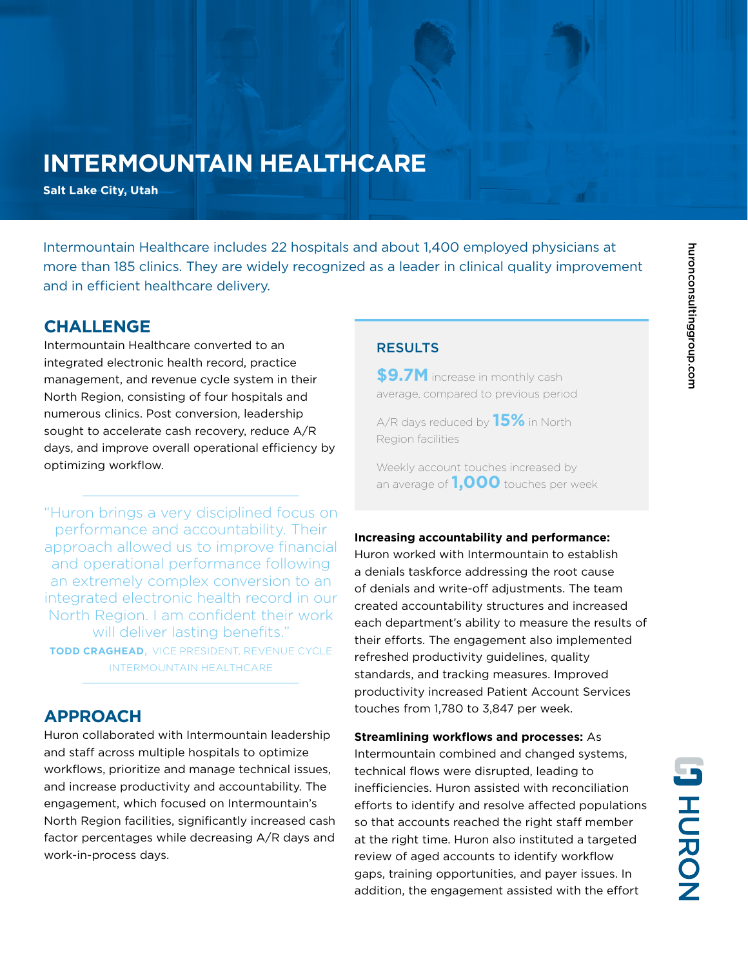# huronconsultinggroup.com huronconsultinggroup.com

## **INTERMOUNTAIN HEALTHCARE**

**Salt Lake City, Utah**

Intermountain Healthcare includes 22 hospitals and about 1,400 employed physicians at more than 185 clinics. They are widely recognized as a leader in clinical quality improvement and in efficient healthcare delivery.

## **CHALLENGE**

Intermountain Healthcare converted to an integrated electronic health record, practice management, and revenue cycle system in their North Region, consisting of four hospitals and numerous clinics. Post conversion, leadership sought to accelerate cash recovery, reduce A/R days, and improve overall operational efficiency by optimizing workflow.

"Huron brings a very disciplined focus on performance and accountability. Their approach allowed us to improve financial and operational performance following an extremely complex conversion to an integrated electronic health record in our North Region. I am confident their work will deliver lasting benefits." **TODD CRAGHEAD**, VICE PRESIDENT, REVENUE CYCLE INTERMOUNTAIN HEALTHCARE

## **APPROACH**

Huron collaborated with Intermountain leadership and staff across multiple hospitals to optimize workflows, prioritize and manage technical issues, and increase productivity and accountability. The engagement, which focused on Intermountain's North Region facilities, significantly increased cash factor percentages while decreasing A/R days and work-in-process days.

#### RESULTS

**\$9.7M** increase in monthly cash average, compared to previous period

A/R days reduced by **15%** in North Region facilities

Weekly account touches increased by an average of **1,000** touches per week

#### **Increasing accountability and performance:**

Huron worked with Intermountain to establish a denials taskforce addressing the root cause of denials and write-off adjustments. The team created accountability structures and increased each department's ability to measure the results of their efforts. The engagement also implemented refreshed productivity guidelines, quality standards, and tracking measures. Improved productivity increased Patient Account Services touches from 1,780 to 3,847 per week.

**Streamlining workflows and processes:** As Intermountain combined and changed systems, technical flows were disrupted, leading to inefficiencies. Huron assisted with reconciliation efforts to identify and resolve affected populations so that accounts reached the right staff member at the right time. Huron also instituted a targeted review of aged accounts to identify workflow gaps, training opportunities, and payer issues. In addition, the engagement assisted with the effort